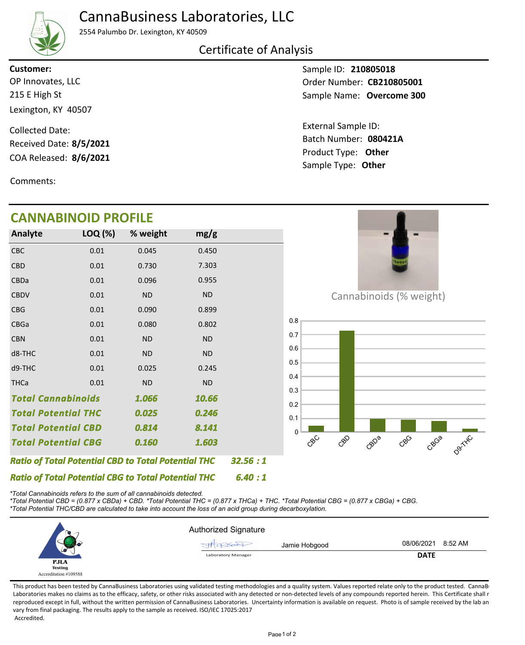## CannaBusiness Laboratories, LLC



2554 Palumbo Dr. Lexington, KY 40509

### Certificate of Analysis

215 E High St Lexington, KY 40507 OP Innovates, LLC **Customer:**

COA Released: 8/6/2021 Collected Date: Received Date: **8/5/2021**

Comments:

# **CANNABINOID PROFILE**

Sample ID: **210805018** Sample Name: **Overcome 300** Order Number: CB210805001

Product Type: **Other 8/6/2021 080421A** Batch Number: External Sample ID: Sample Type: **Other**

**College** 

| CANNABINOID PROFILE                                        |         |                                                            |           |         |                                              |
|------------------------------------------------------------|---------|------------------------------------------------------------|-----------|---------|----------------------------------------------|
| Analyte                                                    | LOQ (%) | % weight                                                   | mg/g      |         |                                              |
| CBC                                                        | 0.01    | 0.045                                                      | 0.450     |         |                                              |
| <b>CBD</b>                                                 | 0.01    | 0.730                                                      | 7.303     |         | ovin                                         |
| <b>CBDa</b>                                                | 0.01    | 0.096                                                      | 0.955     |         |                                              |
| <b>CBDV</b>                                                | 0.01    | <b>ND</b>                                                  | <b>ND</b> |         | Cannabinoids (% weight)                      |
| <b>CBG</b>                                                 | 0.01    | 0.090                                                      | 0.899     |         |                                              |
| <b>CBGa</b>                                                | 0.01    | 0.080                                                      | 0.802     |         | 0.8                                          |
| <b>CBN</b>                                                 | 0.01    | <b>ND</b>                                                  | <b>ND</b> |         | 0.7                                          |
| d8-THC                                                     | 0.01    | <b>ND</b>                                                  | <b>ND</b> |         | 0.6                                          |
| d9-THC                                                     | 0.01    | 0.025                                                      | 0.245     |         | 0.5                                          |
| <b>THCa</b>                                                | 0.01    | <b>ND</b>                                                  | <b>ND</b> |         | 0.4<br>0.3                                   |
| <b>Total Cannabinoids</b><br>1.066                         |         | 10.66                                                      |           | 0.2     |                                              |
| <b>Total Potential THC</b>                                 |         | 0.025                                                      | 0.246     |         | 0.1                                          |
| <b>Total Potential CBD</b>                                 |         | 0.814                                                      | 8.141     |         |                                              |
| <b>Total Potential CBG</b>                                 |         | 0.160                                                      | 1.603     |         | Dartitc<br>CBC<br>CBD<br>CBG<br>GBDB<br>CBGB |
|                                                            |         | <b>Ratio of Total Potential CBD to Total Potential THC</b> |           | 32.56:1 |                                              |
| <b>Ratio of Total Potential CBG to Total Potential THC</b> |         |                                                            |           | 6.40:1  |                                              |

*\*Total Cannabinoids refers to the sum of all cannabinoids detected.*

*\*Total Potential CBD = (0.877 x CBDa) + CBD. \*Total Potential THC = (0.877 x THCa) + THC. \*Total Potential CBG = (0.877 x CBGa) + CBG. \*Total Potential THC/CBD are calculated to take into account the loss of an acid group during decarboxylation.*



This product has been tested by CannaBusiness Laboratories using validated testing methodologies and a quality system. Values reported relate only to the product tested. CannaB Laboratories makes no claims as to the efficacy, safety, or other risks associated with any detected or non-detected levels of any compounds reported herein. This Certificate shall r reproduced except in full, without the written permission of CannaBusiness Laboratories. Uncertainty information is available on request. Photo is of sample received by the lab an vary from final packaging. The results apply to the sample as received. ISO/IEC 17025:2017 Accredited.